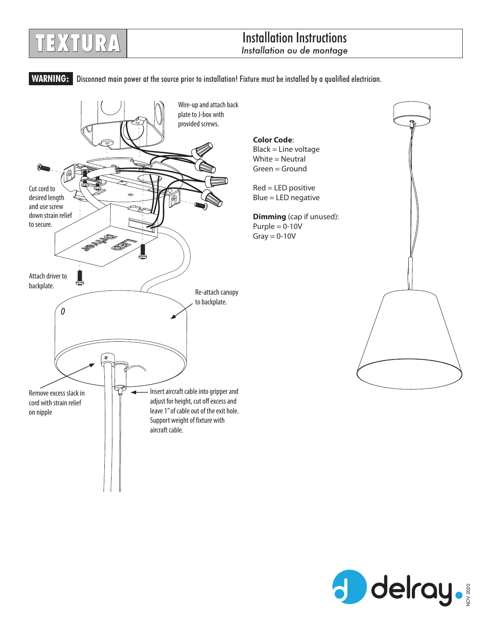## Installation Instructions **TEXTURA** *Installation ou de montage*

WARNING: Disconnect main power at the source prior to installation! Fixture must be installed by a qualified electrician.